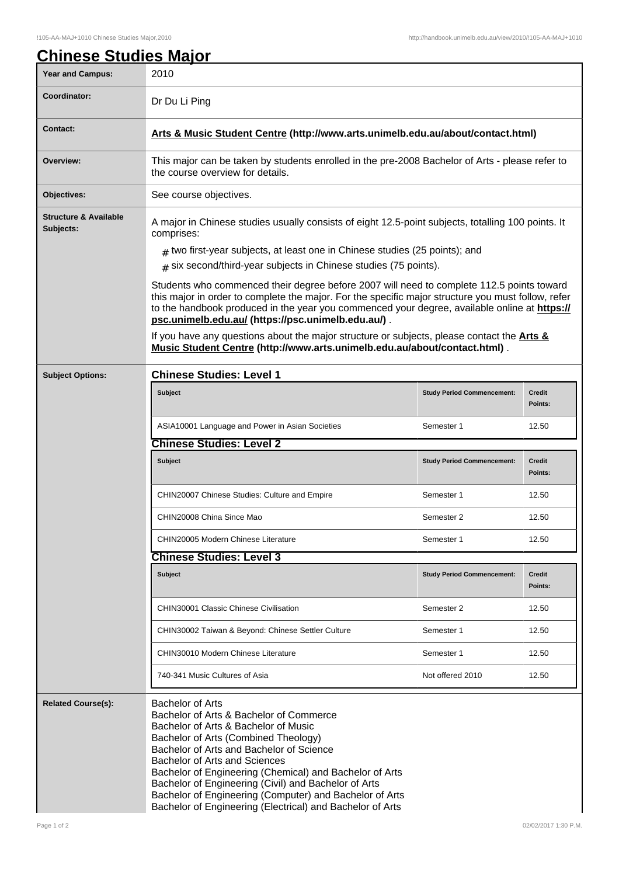| <u> Chinese Studies Major</u><br><b>Year and Campus:</b> | 2010                                                                                                                                                                                                                                                                                                                                                  |                                   |                          |  |
|----------------------------------------------------------|-------------------------------------------------------------------------------------------------------------------------------------------------------------------------------------------------------------------------------------------------------------------------------------------------------------------------------------------------------|-----------------------------------|--------------------------|--|
| Coordinator:                                             | Dr Du Li Ping                                                                                                                                                                                                                                                                                                                                         |                                   |                          |  |
|                                                          |                                                                                                                                                                                                                                                                                                                                                       |                                   |                          |  |
| <b>Contact:</b>                                          | Arts & Music Student Centre (http://www.arts.unimelb.edu.au/about/contact.html)                                                                                                                                                                                                                                                                       |                                   |                          |  |
| Overview:                                                | This major can be taken by students enrolled in the pre-2008 Bachelor of Arts - please refer to<br>the course overview for details.                                                                                                                                                                                                                   |                                   |                          |  |
| Objectives:                                              | See course objectives.                                                                                                                                                                                                                                                                                                                                |                                   |                          |  |
| <b>Structure &amp; Available</b><br>Subjects:            | A major in Chinese studies usually consists of eight 12.5-point subjects, totalling 100 points. It<br>comprises:                                                                                                                                                                                                                                      |                                   |                          |  |
|                                                          | $#$ two first-year subjects, at least one in Chinese studies (25 points); and<br>$#$ six second/third-year subjects in Chinese studies (75 points).                                                                                                                                                                                                   |                                   |                          |  |
|                                                          | Students who commenced their degree before 2007 will need to complete 112.5 points toward<br>this major in order to complete the major. For the specific major structure you must follow, refer<br>to the handbook produced in the year you commenced your degree, available online at https://<br>psc.unimelb.edu.au/ (https://psc.unimelb.edu.au/). |                                   |                          |  |
|                                                          | If you have any questions about the major structure or subjects, please contact the Arts &<br>Music Student Centre (http://www.arts.unimelb.edu.au/about/contact.html).                                                                                                                                                                               |                                   |                          |  |
| <b>Subject Options:</b>                                  | <b>Chinese Studies: Level 1</b>                                                                                                                                                                                                                                                                                                                       |                                   |                          |  |
|                                                          | Subject                                                                                                                                                                                                                                                                                                                                               | <b>Study Period Commencement:</b> | <b>Credit</b><br>Points: |  |
|                                                          | ASIA10001 Language and Power in Asian Societies                                                                                                                                                                                                                                                                                                       | Semester 1                        | 12.50                    |  |
|                                                          | <b>Chinese Studies: Level 2</b>                                                                                                                                                                                                                                                                                                                       |                                   |                          |  |
|                                                          | <b>Subject</b>                                                                                                                                                                                                                                                                                                                                        | <b>Study Period Commencement:</b> | <b>Credit</b><br>Points: |  |
|                                                          | <b>CHIN20007 Chinese Studies: Culture and Empire</b>                                                                                                                                                                                                                                                                                                  | Semester 1                        | 12.50                    |  |
|                                                          | CHIN20008 China Since Mao                                                                                                                                                                                                                                                                                                                             | Semester 2                        | 12.50                    |  |
|                                                          | CHIN20005 Modern Chinese Literature                                                                                                                                                                                                                                                                                                                   | Semester 1                        | 12.50                    |  |
|                                                          | <b>Chinese Studies: Level 3</b>                                                                                                                                                                                                                                                                                                                       |                                   |                          |  |
|                                                          | <b>Subject</b>                                                                                                                                                                                                                                                                                                                                        | <b>Study Period Commencement:</b> | <b>Credit</b><br>Points: |  |
|                                                          | <b>CHIN30001 Classic Chinese Civilisation</b>                                                                                                                                                                                                                                                                                                         | Semester 2                        | 12.50                    |  |
|                                                          | CHIN30002 Taiwan & Beyond: Chinese Settler Culture                                                                                                                                                                                                                                                                                                    | Semester 1                        | 12.50                    |  |
|                                                          | CHIN30010 Modern Chinese Literature                                                                                                                                                                                                                                                                                                                   | Semester 1                        | 12.50                    |  |
|                                                          | 740-341 Music Cultures of Asia                                                                                                                                                                                                                                                                                                                        | Not offered 2010                  | 12.50                    |  |
| <b>Related Course(s):</b>                                | <b>Bachelor of Arts</b><br>Bachelor of Arts & Bachelor of Commerce<br>Bachelor of Arts & Bachelor of Music<br>Bachelor of Arts (Combined Theology)<br>Bachelor of Arts and Bachelor of Science<br>Bachelor of Arts and Sciences<br>Bachelor of Engineering (Chemical) and Bachelor of Arts<br>Bachelor of Engineering (Civil) and Bachelor of Arts    |                                   |                          |  |

Bachelor of Engineering (Electrical) and Bachelor of Arts